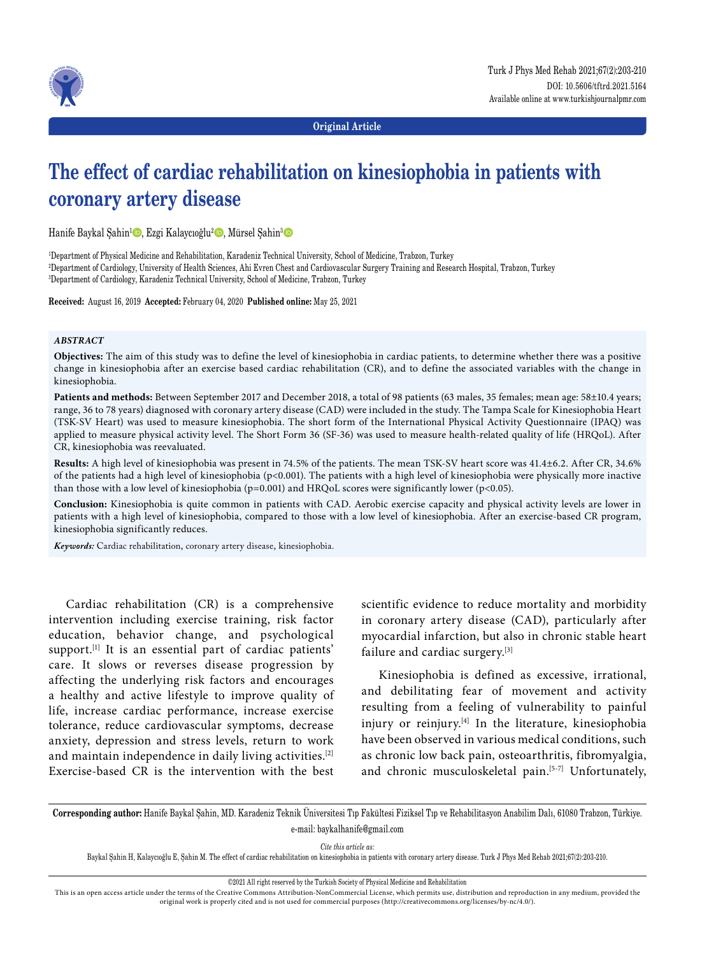



**Original Article**

# **The effect of cardiac rehabilitation on kinesiophobia in patients with coronary artery disease**

Hanife Baykal Şahin<sup>1</sup> D, Ezgi Kalaycıoğlu<sup>2</sup> D, Mürsel Şahin<sup>3</sup> D

1 Department of Physical Medicine and Rehabilitation, Karadeniz Technical University, School of Medicine, Trabzon, Turkey 2 Department of Cardiology, University of Health Sciences, Ahi Evren Chest and Cardiovascular Surgery Training and Research Hospital, Trabzon, Turkey 3 Department of Cardiology, Karadeniz Technical University, School of Medicine, Trabzon, Turkey

**Received:** August 16, 2019 **Accepted:** February 04, 2020 **Published online:** May 25, 2021

## *ABSTRACT*

**Objectives:** The aim of this study was to define the level of kinesiophobia in cardiac patients, to determine whether there was a positive change in kinesiophobia after an exercise based cardiac rehabilitation (CR), and to define the associated variables with the change in kinesiophobia.

**Patients and methods:** Between September 2017 and December 2018, a total of 98 patients (63 males, 35 females; mean age: 58±10.4 years; range, 36 to 78 years) diagnosed with coronary artery disease (CAD) were included in the study. The Tampa Scale for Kinesiophobia Heart (TSK-SV Heart) was used to measure kinesiophobia. The short form of the International Physical Activity Questionnaire (IPAQ) was applied to measure physical activity level. The Short Form 36 (SF-36) was used to measure health-related quality of life (HRQoL). After CR, kinesiophobia was reevaluated.

**Results:** A high level of kinesiophobia was present in 74.5% of the patients. The mean TSK-SV heart score was 41.4±6.2. After CR, 34.6% of the patients had a high level of kinesiophobia (p<0.001). The patients with a high level of kinesiophobia were physically more inactive than those with a low level of kinesiophobia (p=0.001) and HRQoL scores were significantly lower (p<0.05).

**Conclusion:** Kinesiophobia is quite common in patients with CAD. Aerobic exercise capacity and physical activity levels are lower in patients with a high level of kinesiophobia, compared to those with a low level of kinesiophobia. After an exercise-based CR program, kinesiophobia significantly reduces.

*Keywords:* Cardiac rehabilitation, coronary artery disease, kinesiophobia.

Cardiac rehabilitation (CR) is a comprehensive intervention including exercise training, risk factor education, behavior change, and psychological support.<sup>[1]</sup> It is an essential part of cardiac patients' care. It slows or reverses disease progression by affecting the underlying risk factors and encourages a healthy and active lifestyle to improve quality of life, increase cardiac performance, increase exercise tolerance, reduce cardiovascular symptoms, decrease anxiety, depression and stress levels, return to work and maintain independence in daily living activities.[2] Exercise-based CR is the intervention with the best

scientific evidence to reduce mortality and morbidity in coronary artery disease (CAD), particularly after myocardial infarction, but also in chronic stable heart failure and cardiac surgery.[3]

Kinesiophobia is defined as excessive, irrational, and debilitating fear of movement and activity resulting from a feeling of vulnerability to painful injury or reinjury. $[4]$  In the literature, kinesiophobia have been observed in various medical conditions, such as chronic low back pain, osteoarthritis, fibromyalgia, and chronic musculoskeletal pain.<sup>[5-7]</sup> Unfortunately,

**Corresponding author:** Hanife Baykal Şahin, MD. Karadeniz Teknik Üniversitesi Tıp Fakültesi Fiziksel Tıp ve Rehabilitasyon Anabilim Dalı, 61080 Trabzon, Türkiye. e-mail: baykalhanife@gmail.com

*Cite this article as:*

Baykal Şahin H, Kalaycıoğlu E, Şahin M. The effect of cardiac rehabilitation on kinesiophobia in patients with coronary artery disease. Turk J Phys Med Rehab 2021;67(2):203-210.

This is an open access article under the terms of the Creative Commons Attribution-NonCommercial License, which permits use, distribution and reproduction in any medium, provided the original work is properly cited and is not used for commercial purposes (http://creativecommons.org/licenses/by-nc/4.0/).

<sup>©2021</sup> All right reserved by the Turkish Society of Physical Medicine and Rehabilitation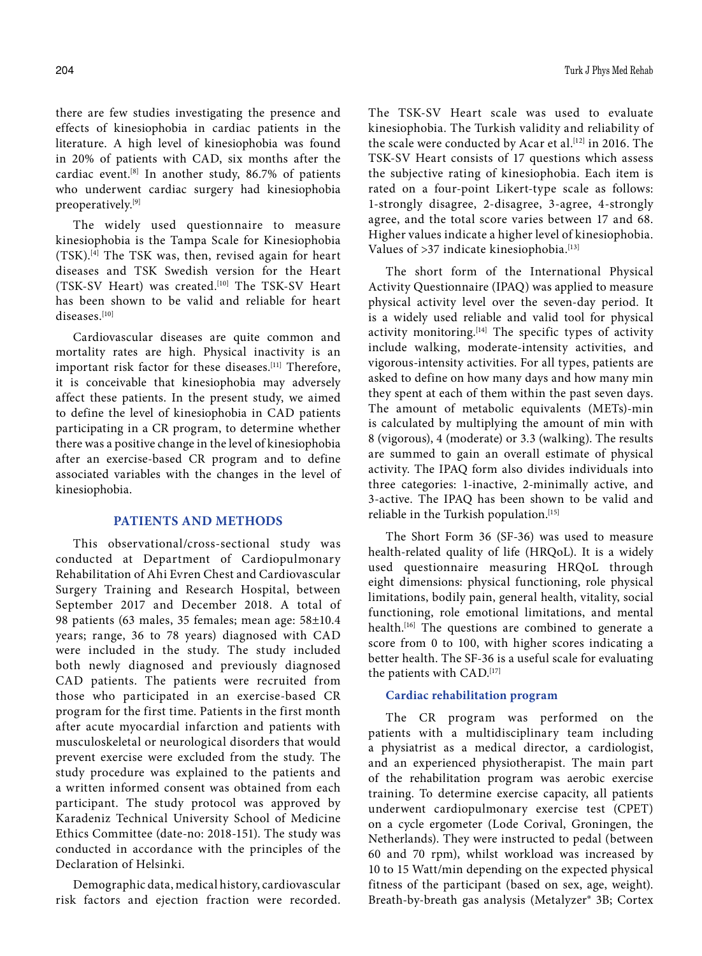there are few studies investigating the presence and effects of kinesiophobia in cardiac patients in the literature. A high level of kinesiophobia was found in 20% of patients with CAD, six months after the cardiac event.[8] In another study, 86.7% of patients who underwent cardiac surgery had kinesiophobia preoperatively.[9]

The widely used questionnaire to measure kinesiophobia is the Tampa Scale for Kinesiophobia (TSK).[4] The TSK was, then, revised again for heart diseases and TSK Swedish version for the Heart (TSK-SV Heart) was created.<sup>[10]</sup> The TSK-SV Heart has been shown to be valid and reliable for heart diseases.[10]

Cardiovascular diseases are quite common and mortality rates are high. Physical inactivity is an important risk factor for these diseases.<sup>[11]</sup> Therefore, it is conceivable that kinesiophobia may adversely affect these patients. In the present study, we aimed to define the level of kinesiophobia in CAD patients participating in a CR program, to determine whether there was a positive change in the level of kinesiophobia after an exercise-based CR program and to define associated variables with the changes in the level of kinesiophobia.

## **PATIENTS AND METHODS**

This observational/cross-sectional study was conducted at Department of Cardiopulmonary Rehabilitation of Ahi Evren Chest and Cardiovascular Surgery Training and Research Hospital, between September 2017 and December 2018. A total of 98 patients (63 males, 35 females; mean age: 58±10.4 years; range, 36 to 78 years) diagnosed with CAD were included in the study. The study included both newly diagnosed and previously diagnosed CAD patients. The patients were recruited from those who participated in an exercise-based CR program for the first time. Patients in the first month after acute myocardial infarction and patients with musculoskeletal or neurological disorders that would prevent exercise were excluded from the study. The study procedure was explained to the patients and a written informed consent was obtained from each participant. The study protocol was approved by Karadeniz Technical University School of Medicine Ethics Committee (date-no: 2018-151). The study was conducted in accordance with the principles of the Declaration of Helsinki.

Demographic data, medical history, cardiovascular risk factors and ejection fraction were recorded. The TSK-SV Heart scale was used to evaluate kinesiophobia. The Turkish validity and reliability of the scale were conducted by Acar et al.<sup>[12]</sup> in 2016. The TSK-SV Heart consists of 17 questions which assess the subjective rating of kinesiophobia. Each item is rated on a four-point Likert-type scale as follows: 1-strongly disagree, 2-disagree, 3-agree, 4-strongly agree, and the total score varies between 17 and 68. Higher values indicate a higher level of kinesiophobia. Values of >37 indicate kinesiophobia.<sup>[13]</sup>

The short form of the International Physical Activity Questionnaire (IPAQ) was applied to measure physical activity level over the seven-day period. It is a widely used reliable and valid tool for physical activity monitoring.<sup>[14]</sup> The specific types of activity include walking, moderate-intensity activities, and vigorous-intensity activities. For all types, patients are asked to define on how many days and how many min they spent at each of them within the past seven days. The amount of metabolic equivalents (METs)-min is calculated by multiplying the amount of min with 8 (vigorous), 4 (moderate) or 3.3 (walking). The results are summed to gain an overall estimate of physical activity. The IPAQ form also divides individuals into three categories: 1-inactive, 2-minimally active, and 3-active. The IPAQ has been shown to be valid and reliable in the Turkish population.<sup>[15]</sup>

The Short Form 36 (SF-36) was used to measure health-related quality of life (HRQoL). It is a widely used questionnaire measuring HRQoL through eight dimensions: physical functioning, role physical limitations, bodily pain, general health, vitality, social functioning, role emotional limitations, and mental health.<sup>[16]</sup> The questions are combined to generate a score from 0 to 100, with higher scores indicating a better health. The SF-36 is a useful scale for evaluating the patients with CAD.[17]

## **Cardiac rehabilitation program**

The CR program was performed on the patients with a multidisciplinary team including a physiatrist as a medical director, a cardiologist, and an experienced physiotherapist. The main part of the rehabilitation program was aerobic exercise training. To determine exercise capacity, all patients underwent cardiopulmonary exercise test (CPET) on a cycle ergometer (Lode Corival, Groningen, the Netherlands). They were instructed to pedal (between 60 and 70 rpm), whilst workload was increased by 10 to 15 Watt/min depending on the expected physical fitness of the participant (based on sex, age, weight). Breath-by-breath gas analysis (Metalyzer® 3B; Cortex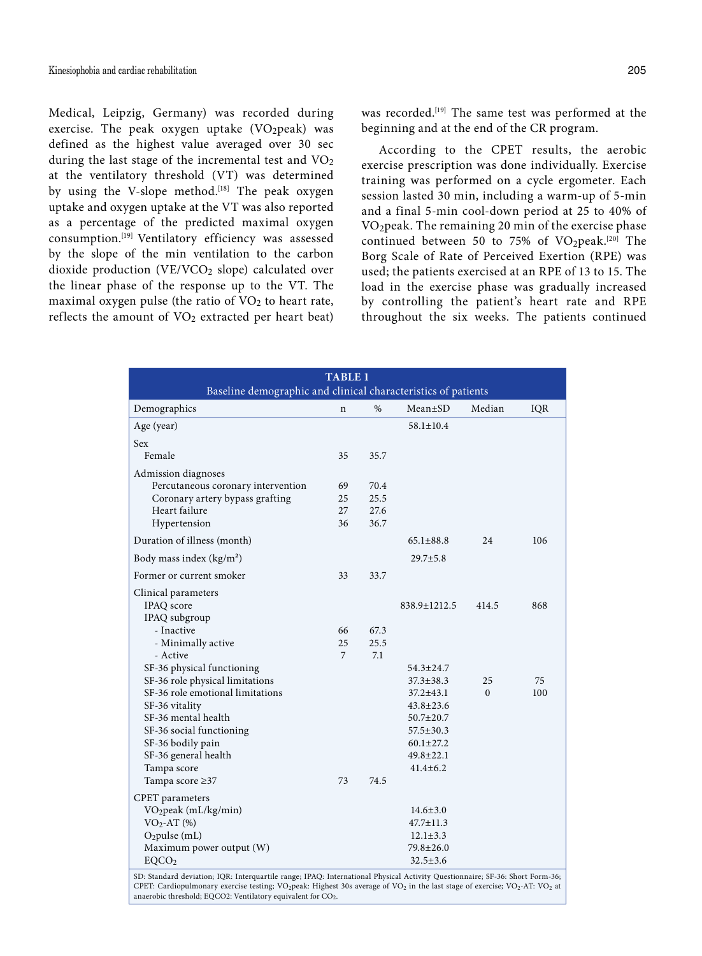Medical, Leipzig, Germany) was recorded during exercise. The peak oxygen uptake  $(VO_2$ peak) was defined as the highest value averaged over 30 sec during the last stage of the incremental test and  $VO<sub>2</sub>$ at the ventilatory threshold (VT) was determined by using the V-slope method.<sup>[18]</sup> The peak oxygen uptake and oxygen uptake at the VT was also reported as a percentage of the predicted maximal oxygen consumption.[19] Ventilatory efficiency was assessed by the slope of the min ventilation to the carbon dioxide production (VE/VCO<sub>2</sub> slope) calculated over the linear phase of the response up to the VT. The maximal oxygen pulse (the ratio of  $VO<sub>2</sub>$  to heart rate, reflects the amount of  $VO<sub>2</sub>$  extracted per heart beat) was recorded.[19] The same test was performed at the beginning and at the end of the CR program.

According to the CPET results, the aerobic exercise prescription was done individually. Exercise training was performed on a cycle ergometer. Each session lasted 30 min, including a warm-up of 5-min and a final 5-min cool-down period at 25 to 40% of VO2peak. The remaining 20 min of the exercise phase continued between 50 to 75% of  $VO_2$ peak.<sup>[20]</sup> The Borg Scale of Rate of Perceived Exertion (RPE) was used; the patients exercised at an RPE of 13 to 15. The load in the exercise phase was gradually increased by controlling the patient's heart rate and RPE throughout the six weeks. The patients continued

|                                                                                                                              | <b>TABLE 1</b> |      |                 |          |     |
|------------------------------------------------------------------------------------------------------------------------------|----------------|------|-----------------|----------|-----|
| Baseline demographic and clinical characteristics of patients                                                                |                |      |                 |          |     |
| Demographics                                                                                                                 | n              | %    | $Mean \pm SD$   | Median   | IQR |
| Age (year)                                                                                                                   |                |      | $58.1 \pm 10.4$ |          |     |
| <b>Sex</b>                                                                                                                   |                |      |                 |          |     |
| Female                                                                                                                       | 35             | 35.7 |                 |          |     |
| Admission diagnoses                                                                                                          |                |      |                 |          |     |
| Percutaneous coronary intervention                                                                                           | 69             | 70.4 |                 |          |     |
| Coronary artery bypass grafting                                                                                              | 25             | 25.5 |                 |          |     |
| Heart failure                                                                                                                | 27             | 27.6 |                 |          |     |
| Hypertension                                                                                                                 | 36             | 36.7 |                 |          |     |
| Duration of illness (month)                                                                                                  |                |      | $65.1 \pm 88.8$ | 24       | 106 |
| Body mass index $(kg/m2)$                                                                                                    |                |      | $29.7 \pm 5.8$  |          |     |
| Former or current smoker                                                                                                     | 33             | 33.7 |                 |          |     |
| Clinical parameters                                                                                                          |                |      |                 |          |     |
| IPAQ score                                                                                                                   |                |      | 838.9±1212.5    | 414.5    | 868 |
| IPAQ subgroup                                                                                                                |                |      |                 |          |     |
| - Inactive                                                                                                                   | 66             | 67.3 |                 |          |     |
| - Minimally active                                                                                                           | 25             | 25.5 |                 |          |     |
| - Active                                                                                                                     | 7              | 7.1  |                 |          |     |
| SF-36 physical functioning                                                                                                   |                |      | $54.3 \pm 24.7$ |          |     |
| SF-36 role physical limitations                                                                                              |                |      | $37.3 \pm 38.3$ | 25       | 75  |
| SF-36 role emotional limitations                                                                                             |                |      | $37.2 \pm 43.1$ | $\Omega$ | 100 |
| SF-36 vitality                                                                                                               |                |      | $43.8 \pm 23.6$ |          |     |
| SF-36 mental health                                                                                                          |                |      | $50.7 \pm 20.7$ |          |     |
| SF-36 social functioning                                                                                                     |                |      | $57.5 \pm 30.3$ |          |     |
| SF-36 bodily pain                                                                                                            |                |      | $60.1 \pm 27.2$ |          |     |
| SF-36 general health                                                                                                         |                |      | $49.8 \pm 22.1$ |          |     |
| Tampa score                                                                                                                  |                |      | $41.4 \pm 6.2$  |          |     |
| Tampa score ≥37                                                                                                              | 73             | 74.5 |                 |          |     |
| <b>CPET</b> parameters                                                                                                       |                |      |                 |          |     |
| VO <sub>2</sub> peak (mL/kg/min)                                                                                             |                |      | $14.6 \pm 3.0$  |          |     |
| $VO2-AT$ (%)                                                                                                                 |                |      | $47.7 \pm 11.3$ |          |     |
| $O_2$ pulse (mL)                                                                                                             |                |      | $12.1 \pm 3.3$  |          |     |
| Maximum power output (W)                                                                                                     |                |      | $79.8 \pm 26.0$ |          |     |
| EQCO <sub>2</sub>                                                                                                            |                |      | $32.5 \pm 3.6$  |          |     |
| SD: Standard deviation; IQR: Interquartile range; IPAQ: International Physical Activity Questionnaire; SF-36: Short Form-36; |                |      |                 |          |     |

SD: Standard deviation; IQR: Interquartile range; IPAQ: International Physical Activity Questionnaire; SF-36: Short Form-36;<br>CPET: Cardiopulmonary exercise testing; VO<sub>2</sub>peak: Highest 30s average of VO<sub>2</sub> in the last stage anaerobic threshold; EQCO2: Ventilatory equivalent for CO2.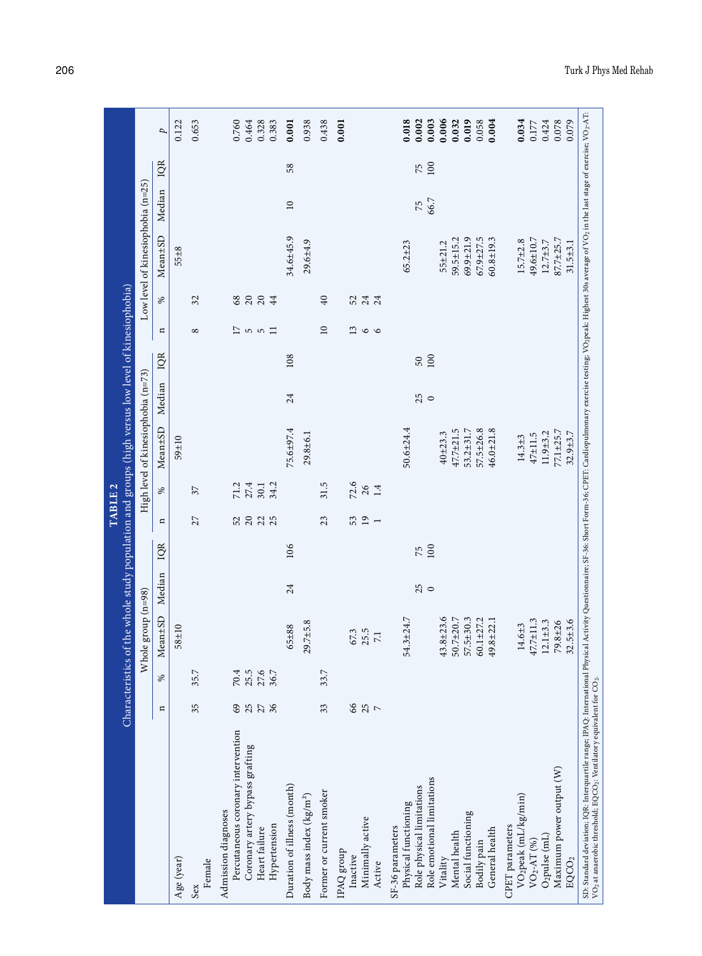|                                                                                                                                                                                                                                                                                                                                                                                                                                                                                                                                                                                                                                                                                    | Characteristics      |                                | of the whole study population and groups (high versus low level of kinesiophobia)                                                                                      |               |           | TABLE <sub>2</sub>                                |                                  |                                                                                                                                                                              |               |           |                        |                          |                                                                                                                                                                                  |                                   |           |                                                                                                                   |
|------------------------------------------------------------------------------------------------------------------------------------------------------------------------------------------------------------------------------------------------------------------------------------------------------------------------------------------------------------------------------------------------------------------------------------------------------------------------------------------------------------------------------------------------------------------------------------------------------------------------------------------------------------------------------------|----------------------|--------------------------------|------------------------------------------------------------------------------------------------------------------------------------------------------------------------|---------------|-----------|---------------------------------------------------|----------------------------------|------------------------------------------------------------------------------------------------------------------------------------------------------------------------------|---------------|-----------|------------------------|--------------------------|----------------------------------------------------------------------------------------------------------------------------------------------------------------------------------|-----------------------------------|-----------|-------------------------------------------------------------------------------------------------------------------|
|                                                                                                                                                                                                                                                                                                                                                                                                                                                                                                                                                                                                                                                                                    |                      |                                | Whole group (n=98)                                                                                                                                                     |               |           |                                                   |                                  | High level of kinesiophobia (n=73)                                                                                                                                           |               |           |                        |                          |                                                                                                                                                                                  | Low level of kinesiophobia (n=25) |           |                                                                                                                   |
|                                                                                                                                                                                                                                                                                                                                                                                                                                                                                                                                                                                                                                                                                    | Ξ                    | ℅                              | Mean±SD                                                                                                                                                                | Median        | IQR       | Ξ                                                 | ℅                                | Mean±SD                                                                                                                                                                      | Median        | IQR       | Ξ                      | ℅                        | Mean±SD                                                                                                                                                                          | Median                            | IQR       | p                                                                                                                 |
| Age (year)                                                                                                                                                                                                                                                                                                                                                                                                                                                                                                                                                                                                                                                                         |                      |                                | $58 + 10$                                                                                                                                                              |               |           |                                                   |                                  | 59±10                                                                                                                                                                        |               |           |                        |                          | $55 + 8$                                                                                                                                                                         |                                   |           | 0.122                                                                                                             |
| Female<br>Sex                                                                                                                                                                                                                                                                                                                                                                                                                                                                                                                                                                                                                                                                      | 35                   | 35.7                           |                                                                                                                                                                        |               |           | 27                                                | 37                               |                                                                                                                                                                              |               |           | $^{\circ}$             | 32                       |                                                                                                                                                                                  |                                   |           | 0.653                                                                                                             |
| Percutaneous coronary intervention<br>Coronary artery bypass grafting<br>Admission diagnoses<br>Hypertension<br>Heart failure                                                                                                                                                                                                                                                                                                                                                                                                                                                                                                                                                      | 25<br>27<br>36<br>69 | $70.4$<br>25.5<br>27.6<br>36.7 |                                                                                                                                                                        |               |           | 52<br>235                                         | $71.2$<br>$27.4$<br>34.2<br>30.1 |                                                                                                                                                                              |               |           | 17<br>5<br>5<br>$\Box$ | 20<br>$20\,$<br>68<br>44 |                                                                                                                                                                                  |                                   |           | 0.760<br>0.464<br>0.328<br>0.383                                                                                  |
| Duration of illness (month)                                                                                                                                                                                                                                                                                                                                                                                                                                                                                                                                                                                                                                                        |                      |                                | $65 + 88$                                                                                                                                                              | 24            | 106       |                                                   |                                  | 75.6±97.4                                                                                                                                                                    | 24            | 108       |                        |                          | 34.6±45.9                                                                                                                                                                        | $\overline{10}$                   | 58        | 0.001                                                                                                             |
| Body mass index (kg/m <sup>2</sup> )                                                                                                                                                                                                                                                                                                                                                                                                                                                                                                                                                                                                                                               |                      |                                | $29.7 + 5.8$                                                                                                                                                           |               |           |                                                   |                                  | 29.8±6.1                                                                                                                                                                     |               |           |                        |                          | $29.6 + 4.9$                                                                                                                                                                     |                                   |           | 0.938                                                                                                             |
| Former or current smoker                                                                                                                                                                                                                                                                                                                                                                                                                                                                                                                                                                                                                                                           | 33                   | 33.7                           |                                                                                                                                                                        |               |           | 23                                                | 31.5                             |                                                                                                                                                                              |               |           | $\overline{10}$        | $\overline{40}$          |                                                                                                                                                                                  |                                   |           | 0.438                                                                                                             |
| Minimally active<br>IPAQ group<br>Inactive<br>Active                                                                                                                                                                                                                                                                                                                                                                                                                                                                                                                                                                                                                               | 66<br>25             |                                | 25.5<br>67.3<br>$\overline{7.1}$                                                                                                                                       |               |           | 53<br>$\overline{19}$<br>$\overline{\phantom{a}}$ | 72.6<br>$26$<br>1.4              |                                                                                                                                                                              |               |           | 13<br>$\circ$ $\circ$  | $24 \over 24$<br>52      |                                                                                                                                                                                  |                                   |           | 0.001                                                                                                             |
| SD: Standard deviation; IQR: Interquartile range; IPAQ: International Physical Activity Questionnaire; SF-36: Short Form-36; CPET: Cardiopulmonary exercise testing; VO2peak: Highest 30s average of VO2 in the last stage of<br>VO <sub>2</sub> at anaerobic threshold; EQCO <sub>2</sub> : Ventilatory equivalent for CO <sub>2</sub> .<br>Maximum power output (W)<br>Role emotional limitations<br>Role physical limitations<br>VO2peak (mL/kg/min)<br>Physical functioning<br>Social functioning<br>CPET parameters<br>SF-36 parameters<br>General health<br>Mental health<br>O <sub>2</sub> pulse (mL)<br>Bodily pain<br>$\text{VO}_2\text{-AT}$ (%)<br>Vitality<br>$EQCO_2$ |                      |                                | 54.3±24.7<br>$43.8 \pm 23.6$<br>50.7±20.7<br>57.5±30.3<br>$60.1 + 27.2$<br>47.7±11.3<br>$32.5 + 3.6$<br>$49.8 + 22.1$<br>$12.1 \pm 3.3$<br>$79.8 + 26$<br>$14.6 \pm 3$ | 25<br>$\circ$ | 100<br>75 |                                                   |                                  | $50.6 + 24.4$<br>$47.7 \pm 21.5$<br>$57.5 \pm 26.8$<br>$46.0 + 21.8$<br>53.2±31.7<br>77.1±25.7<br>$11.9 + 3.2$<br>$32.9 + 3.7$<br>$40 + 23.3$<br>$47 + 11.5$<br>$14.3 \pm 3$ | 25<br>$\circ$ | 100<br>50 |                        |                          | $69.9 + 21.9$<br>$59.5 \pm 15.2$<br>$67.9 + 27.5$<br>$60.8 \pm 19.3$<br>49.6±10.7<br>87.7±25.7<br>$15.7 + 2.8$<br>$12.7 + 3.7$<br>$65.2 \pm 23$<br>$31.5 \pm 3.1$<br>$55 + 21.2$ | 66.7<br>75                        | 100<br>75 | 0.006<br>0.032<br>0.034<br>0.018<br>0.002<br>0.003<br>0.019<br>0.078<br>0.079<br>0.058<br>0.004<br>0.177<br>0.424 |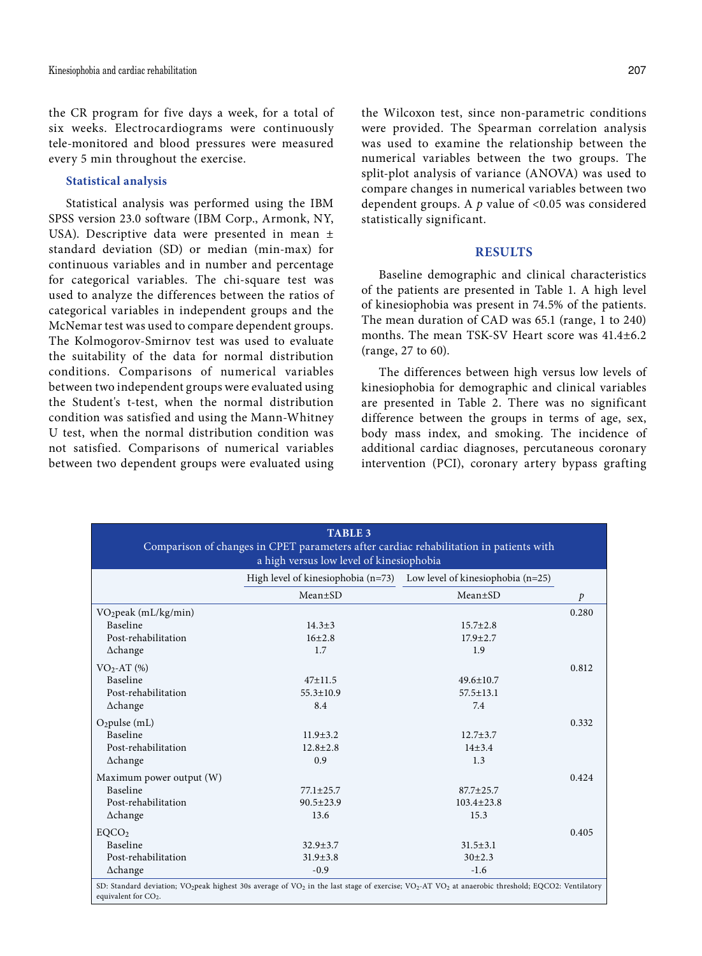the CR program for five days a week, for a total of six weeks. Electrocardiograms were continuously tele-monitored and blood pressures were measured every 5 min throughout the exercise.

## **Statistical analysis**

Statistical analysis was performed using the IBM SPSS version 23.0 software (IBM Corp., Armonk, NY, USA). Descriptive data were presented in mean ± standard deviation (SD) or median (min-max) for continuous variables and in number and percentage for categorical variables. The chi-square test was used to analyze the differences between the ratios of categorical variables in independent groups and the McNemar test was used to compare dependent groups. The Kolmogorov-Smirnov test was used to evaluate the suitability of the data for normal distribution conditions. Comparisons of numerical variables between two independent groups were evaluated using the Student's t-test, when the normal distribution condition was satisfied and using the Mann-Whitney U test, when the normal distribution condition was not satisfied. Comparisons of numerical variables between two dependent groups were evaluated using the Wilcoxon test, since non-parametric conditions were provided. The Spearman correlation analysis was used to examine the relationship between the numerical variables between the two groups. The split-plot analysis of variance (ANOVA) was used to compare changes in numerical variables between two dependent groups. A *p* value of <0.05 was considered statistically significant.

# **RESULTS**

Baseline demographic and clinical characteristics of the patients are presented in Table 1. A high level of kinesiophobia was present in 74.5% of the patients. The mean duration of CAD was 65.1 (range, 1 to 240) months. The mean TSK-SV Heart score was 41.4±6.2 (range, 27 to 60).

The differences between high versus low levels of kinesiophobia for demographic and clinical variables are presented in Table 2. There was no significant difference between the groups in terms of age, sex, body mass index, and smoking. The incidence of additional cardiac diagnoses, percutaneous coronary intervention (PCI), coronary artery bypass grafting

| <b>TABLE 3</b><br>Comparison of changes in CPET parameters after cardiac rehabilitation in patients with<br>a high versus low level of kinesiophobia                                                                                  |                 |                                                                              |               |  |  |  |
|---------------------------------------------------------------------------------------------------------------------------------------------------------------------------------------------------------------------------------------|-----------------|------------------------------------------------------------------------------|---------------|--|--|--|
|                                                                                                                                                                                                                                       |                 | High level of kinesiophobia ( $n=73$ ) Low level of kinesiophobia ( $n=25$ ) |               |  |  |  |
|                                                                                                                                                                                                                                       | $Mean \pm SD$   | $Mean \pm SD$                                                                | $\mathcal{P}$ |  |  |  |
| VO <sub>2</sub> peak (mL/kg/min)                                                                                                                                                                                                      |                 |                                                                              | 0.280         |  |  |  |
| <b>Baseline</b>                                                                                                                                                                                                                       | $14.3 \pm 3$    | $15.7 \pm 2.8$                                                               |               |  |  |  |
| Post-rehabilitation                                                                                                                                                                                                                   | $16+2.8$        | $17.9 + 2.7$                                                                 |               |  |  |  |
| $\Delta$ change                                                                                                                                                                                                                       | 1.7             | 1.9                                                                          |               |  |  |  |
| $VO2-AT (%)$                                                                                                                                                                                                                          |                 |                                                                              | 0.812         |  |  |  |
| Baseline                                                                                                                                                                                                                              | $47 \pm 11.5$   | $49.6 \pm 10.7$                                                              |               |  |  |  |
| Post-rehabilitation                                                                                                                                                                                                                   | $55.3 \pm 10.9$ | $57.5 \pm 13.1$                                                              |               |  |  |  |
| $\Delta$ change                                                                                                                                                                                                                       | 8.4             | 7.4                                                                          |               |  |  |  |
| $O_2$ pulse (mL)                                                                                                                                                                                                                      |                 |                                                                              | 0.332         |  |  |  |
| Baseline                                                                                                                                                                                                                              | $11.9 + 3.2$    | $12.7 \pm 3.7$                                                               |               |  |  |  |
| Post-rehabilitation                                                                                                                                                                                                                   | $12.8 \pm 2.8$  | $14 + 3.4$                                                                   |               |  |  |  |
| $\Delta$ change                                                                                                                                                                                                                       | 0.9             | 1.3                                                                          |               |  |  |  |
| Maximum power output (W)                                                                                                                                                                                                              |                 |                                                                              | 0.424         |  |  |  |
| Baseline                                                                                                                                                                                                                              | $77.1 \pm 25.7$ | $87.7 \pm 25.7$                                                              |               |  |  |  |
| Post-rehabilitation                                                                                                                                                                                                                   | $90.5 \pm 23.9$ | $103.4 \pm 23.8$                                                             |               |  |  |  |
| $\Delta$ change                                                                                                                                                                                                                       | 13.6            | 15.3                                                                         |               |  |  |  |
| EQCO <sub>2</sub>                                                                                                                                                                                                                     |                 |                                                                              | 0.405         |  |  |  |
| Baseline                                                                                                                                                                                                                              | $32.9 + 3.7$    | $31.5 \pm 3.1$                                                               |               |  |  |  |
| Post-rehabilitation                                                                                                                                                                                                                   | $31.9 \pm 3.8$  | $30+2.3$                                                                     |               |  |  |  |
| $\Delta$ change                                                                                                                                                                                                                       | $-0.9$          | $-1.6$                                                                       |               |  |  |  |
| SD: Standard deviation; VO <sub>2</sub> peak highest 30s average of VO <sub>2</sub> in the last stage of exercise; VO <sub>2</sub> -AT VO <sub>2</sub> at anaerobic threshold; EQCO2: Ventilatory<br>equivalent for CO <sub>2</sub> . |                 |                                                                              |               |  |  |  |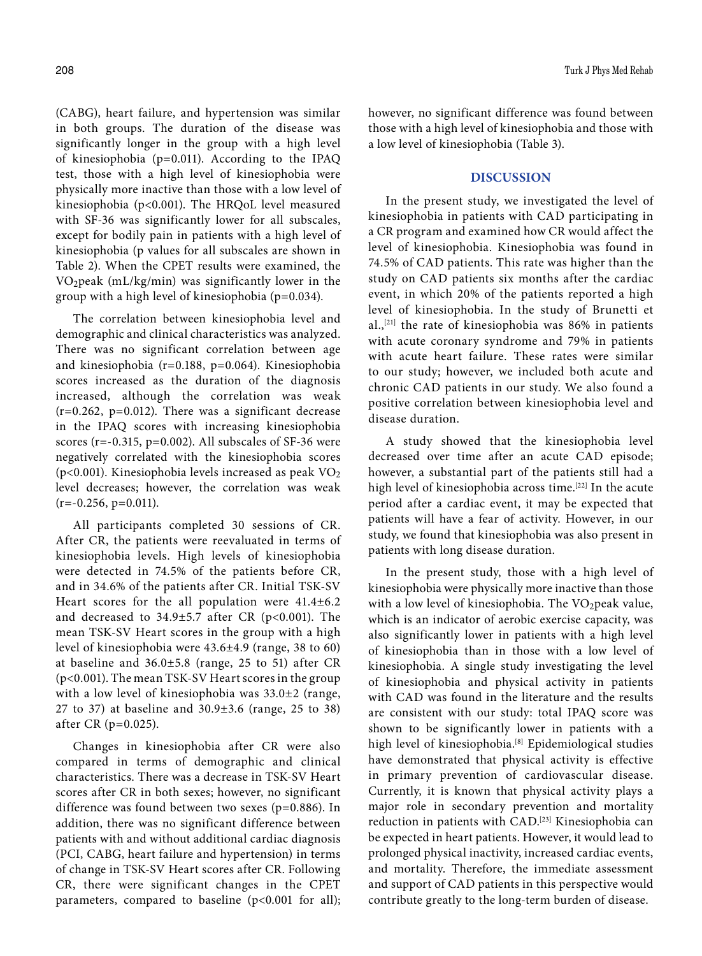(CABG), heart failure, and hypertension was similar in both groups. The duration of the disease was significantly longer in the group with a high level of kinesiophobia (p=0.011). According to the IPAQ test, those with a high level of kinesiophobia were physically more inactive than those with a low level of kinesiophobia (p<0.001). The HRQoL level measured with SF-36 was significantly lower for all subscales, except for bodily pain in patients with a high level of kinesiophobia (p values for all subscales are shown in Table 2). When the CPET results were examined, the VO2peak (mL/kg/min) was significantly lower in the group with a high level of kinesiophobia (p=0.034).

The correlation between kinesiophobia level and demographic and clinical characteristics was analyzed. There was no significant correlation between age and kinesiophobia (r=0.188, p=0.064). Kinesiophobia scores increased as the duration of the diagnosis increased, although the correlation was weak  $(r=0.262, p=0.012)$ . There was a significant decrease in the IPAQ scores with increasing kinesiophobia scores ( $r=-0.315$ ,  $p=0.002$ ). All subscales of SF-36 were negatively correlated with the kinesiophobia scores ( $p$ <0.001). Kinesiophobia levels increased as peak  $VO<sub>2</sub>$ level decreases; however, the correlation was weak  $(r=-0.256, p=0.011).$ 

All participants completed 30 sessions of CR. After CR, the patients were reevaluated in terms of kinesiophobia levels. High levels of kinesiophobia were detected in 74.5% of the patients before CR, and in 34.6% of the patients after CR. Initial TSK-SV Heart scores for the all population were 41.4±6.2 and decreased to  $34.9 \pm 5.7$  after CR (p<0.001). The mean TSK-SV Heart scores in the group with a high level of kinesiophobia were 43.6±4.9 (range, 38 to 60) at baseline and 36.0±5.8 (range, 25 to 51) after CR (p<0.001). The mean TSK-SV Heart scores in the group with a low level of kinesiophobia was 33.0±2 (range, 27 to 37) at baseline and 30.9±3.6 (range, 25 to 38) after CR (p=0.025).

Changes in kinesiophobia after CR were also compared in terms of demographic and clinical characteristics. There was a decrease in TSK-SV Heart scores after CR in both sexes; however, no significant difference was found between two sexes (p=0.886). In addition, there was no significant difference between patients with and without additional cardiac diagnosis (PCI, CABG, heart failure and hypertension) in terms of change in TSK-SV Heart scores after CR. Following CR, there were significant changes in the CPET parameters, compared to baseline (p<0.001 for all); however, no significant difference was found between those with a high level of kinesiophobia and those with a low level of kinesiophobia (Table 3).

## **DISCUSSION**

In the present study, we investigated the level of kinesiophobia in patients with CAD participating in a CR program and examined how CR would affect the level of kinesiophobia. Kinesiophobia was found in 74.5% of CAD patients. This rate was higher than the study on CAD patients six months after the cardiac event, in which 20% of the patients reported a high level of kinesiophobia. In the study of Brunetti et al.,<sup>[21]</sup> the rate of kinesiophobia was  $86\%$  in patients with acute coronary syndrome and 79% in patients with acute heart failure. These rates were similar to our study; however, we included both acute and chronic CAD patients in our study. We also found a positive correlation between kinesiophobia level and disease duration.

A study showed that the kinesiophobia level decreased over time after an acute CAD episode; however, a substantial part of the patients still had a high level of kinesiophobia across time.<sup>[22]</sup> In the acute period after a cardiac event, it may be expected that patients will have a fear of activity. However, in our study, we found that kinesiophobia was also present in patients with long disease duration.

In the present study, those with a high level of kinesiophobia were physically more inactive than those with a low level of kinesiophobia. The VO2peak value, which is an indicator of aerobic exercise capacity, was also significantly lower in patients with a high level of kinesiophobia than in those with a low level of kinesiophobia. A single study investigating the level of kinesiophobia and physical activity in patients with CAD was found in the literature and the results are consistent with our study: total IPAQ score was shown to be significantly lower in patients with a high level of kinesiophobia.<sup>[8]</sup> Epidemiological studies have demonstrated that physical activity is effective in primary prevention of cardiovascular disease. Currently, it is known that physical activity plays a major role in secondary prevention and mortality reduction in patients with CAD.[23] Kinesiophobia can be expected in heart patients. However, it would lead to prolonged physical inactivity, increased cardiac events, and mortality. Therefore, the immediate assessment and support of CAD patients in this perspective would contribute greatly to the long-term burden of disease.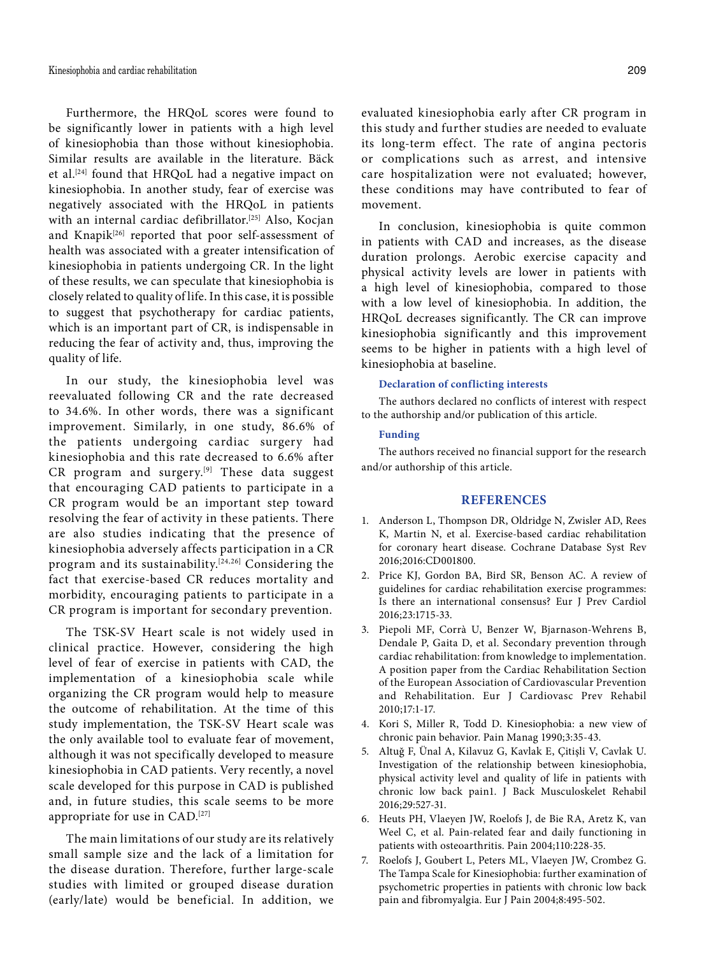Furthermore, the HRQoL scores were found to be significantly lower in patients with a high level of kinesiophobia than those without kinesiophobia. Similar results are available in the literature. Bäck et al.<sup>[24]</sup> found that HRQoL had a negative impact on kinesiophobia. In another study, fear of exercise was negatively associated with the HRQoL in patients with an internal cardiac defibrillator.<sup>[25]</sup> Also, Kocjan and Knapik<sup>[26]</sup> reported that poor self-assessment of health was associated with a greater intensification of kinesiophobia in patients undergoing CR. In the light of these results, we can speculate that kinesiophobia is closely related to quality of life. In this case, it is possible to suggest that psychotherapy for cardiac patients, which is an important part of CR, is indispensable in reducing the fear of activity and, thus, improving the quality of life.

In our study, the kinesiophobia level was reevaluated following CR and the rate decreased to 34.6%. In other words, there was a significant improvement. Similarly, in one study, 86.6% of the patients undergoing cardiac surgery had kinesiophobia and this rate decreased to 6.6% after CR program and surgery.<sup>[9]</sup> These data suggest that encouraging CAD patients to participate in a CR program would be an important step toward resolving the fear of activity in these patients. There are also studies indicating that the presence of kinesiophobia adversely affects participation in a CR program and its sustainability.[24,26] Considering the fact that exercise-based CR reduces mortality and morbidity, encouraging patients to participate in a CR program is important for secondary prevention.

The TSK-SV Heart scale is not widely used in clinical practice. However, considering the high level of fear of exercise in patients with CAD, the implementation of a kinesiophobia scale while organizing the CR program would help to measure the outcome of rehabilitation. At the time of this study implementation, the TSK-SV Heart scale was the only available tool to evaluate fear of movement, although it was not specifically developed to measure kinesiophobia in CAD patients. Very recently, a novel scale developed for this purpose in CAD is published and, in future studies, this scale seems to be more appropriate for use in CAD.[27]

The main limitations of our study are its relatively small sample size and the lack of a limitation for the disease duration. Therefore, further large-scale studies with limited or grouped disease duration (early/late) would be beneficial. In addition, we

evaluated kinesiophobia early after CR program in this study and further studies are needed to evaluate its long-term effect. The rate of angina pectoris or complications such as arrest, and intensive care hospitalization were not evaluated; however, these conditions may have contributed to fear of movement.

In conclusion, kinesiophobia is quite common in patients with CAD and increases, as the disease duration prolongs. Aerobic exercise capacity and physical activity levels are lower in patients with a high level of kinesiophobia, compared to those with a low level of kinesiophobia. In addition, the HRQoL decreases significantly. The CR can improve kinesiophobia significantly and this improvement seems to be higher in patients with a high level of kinesiophobia at baseline.

#### **Declaration of conflicting interests**

The authors declared no conflicts of interest with respect to the authorship and/or publication of this article.

### **Funding**

The authors received no financial support for the research and/or authorship of this article.

### **REFERENCES**

- 1. Anderson L, Thompson DR, Oldridge N, Zwisler AD, Rees K, Martin N, et al. Exercise-based cardiac rehabilitation for coronary heart disease. Cochrane Database Syst Rev 2016;2016:CD001800.
- 2. Price KJ, Gordon BA, Bird SR, Benson AC. A review of guidelines for cardiac rehabilitation exercise programmes: Is there an international consensus? Eur J Prev Cardiol 2016;23:1715-33.
- 3. Piepoli MF, Corrà U, Benzer W, Bjarnason-Wehrens B, Dendale P, Gaita D, et al. Secondary prevention through cardiac rehabilitation: from knowledge to implementation. A position paper from the Cardiac Rehabilitation Section of the European Association of Cardiovascular Prevention and Rehabilitation. Eur J Cardiovasc Prev Rehabil 2010;17:1-17.
- 4. Kori S, Miller R, Todd D. Kinesiophobia: a new view of chronic pain behavior. Pain Manag 1990;3:35-43.
- 5. Altuğ F, Ünal A, Kilavuz G, Kavlak E, Çitişli V, Cavlak U. Investigation of the relationship between kinesiophobia, physical activity level and quality of life in patients with chronic low back pain1. J Back Musculoskelet Rehabil 2016;29:527-31.
- 6. Heuts PH, Vlaeyen JW, Roelofs J, de Bie RA, Aretz K, van Weel C, et al. Pain-related fear and daily functioning in patients with osteoarthritis. Pain 2004;110:228-35.
- 7. Roelofs J, Goubert L, Peters ML, Vlaeyen JW, Crombez G. The Tampa Scale for Kinesiophobia: further examination of psychometric properties in patients with chronic low back pain and fibromyalgia. Eur J Pain 2004;8:495-502.